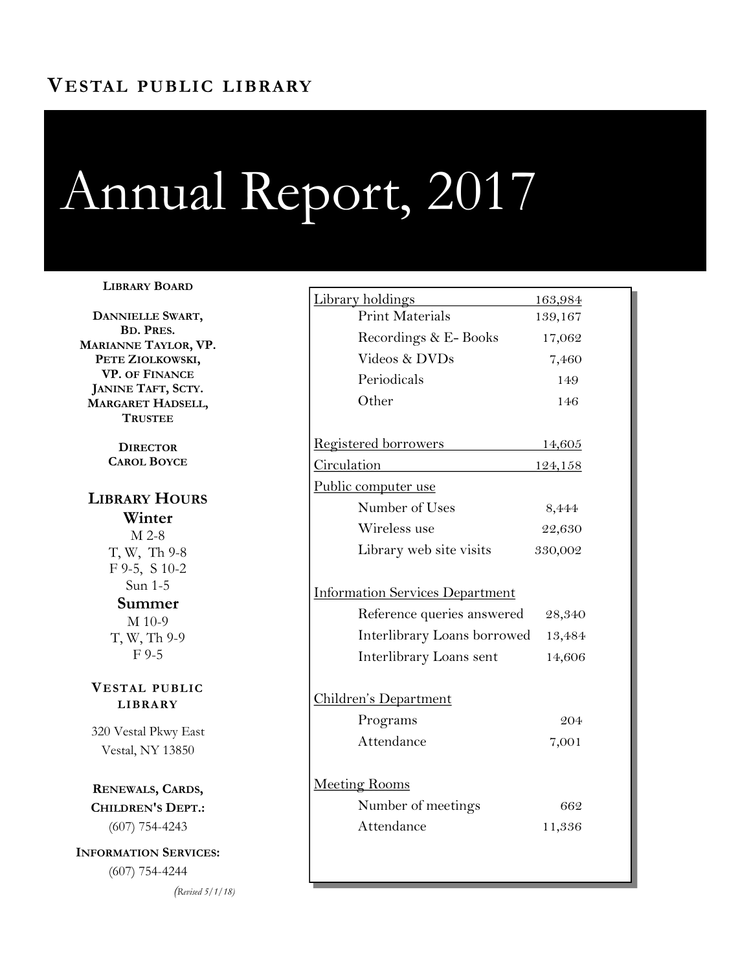# Annual Report, 2017

#### **LIBRARY BOARD**

**DANNIELLE SWART, BD. PRES. MARIANNE TAYLOR, VP. PETE ZIOLKOWSKI, VP. OF FINANCE JANINE TAFT, SCTY. MARGARET HADSELL, TRUSTEE**

> **DIRECTOR CAROL BOYCE**

## **LIBRARY HOURS Winter** M 2-8 T, W, Th 9-8 F 9-5, S 10-2 Sun 1-5 **Summer** M 10-9 T, W, Th 9-9 F 9-5

#### **VESTAL PUBLIC LIBRARY**

320 Vestal Pkwy East Vestal, NY 13850

**RENEWALS, CARDS, CHILDREN'S DEPT.:**  (607) 754-4243

**INFORMATION SERVICES:**  (607) 754-4244

*(Revised 5/1/18)*

| <u>Library holdings</u>                | 163,984        |
|----------------------------------------|----------------|
| <b>Print Materials</b>                 | 139,167        |
| Recordings & E-Books                   | 17,062         |
| Videos & DVDs                          | 7,460          |
| Periodicals                            | 149            |
| Other                                  | 146            |
| Registered borrowers                   | <u>14,605</u>  |
| <b>Circulation</b>                     | <u>124,158</u> |
| Public computer use                    |                |
| Number of Uses                         | 8,444          |
| Wireless use                           | 22,630         |
| Library web site visits                | 330,002        |
| <b>Information Services Department</b> |                |
| Reference queries answered             | 28,340         |
| Interlibrary Loans borrowed            | 13,484         |
| Interlibrary Loans sent                | 14,606         |
| <u> Children's Department</u>          |                |
| Programs                               | 204            |
| Attendance                             | 7,001          |
|                                        |                |
| <u>Meeting Rooms</u>                   |                |
| Number of meetings                     | 662            |